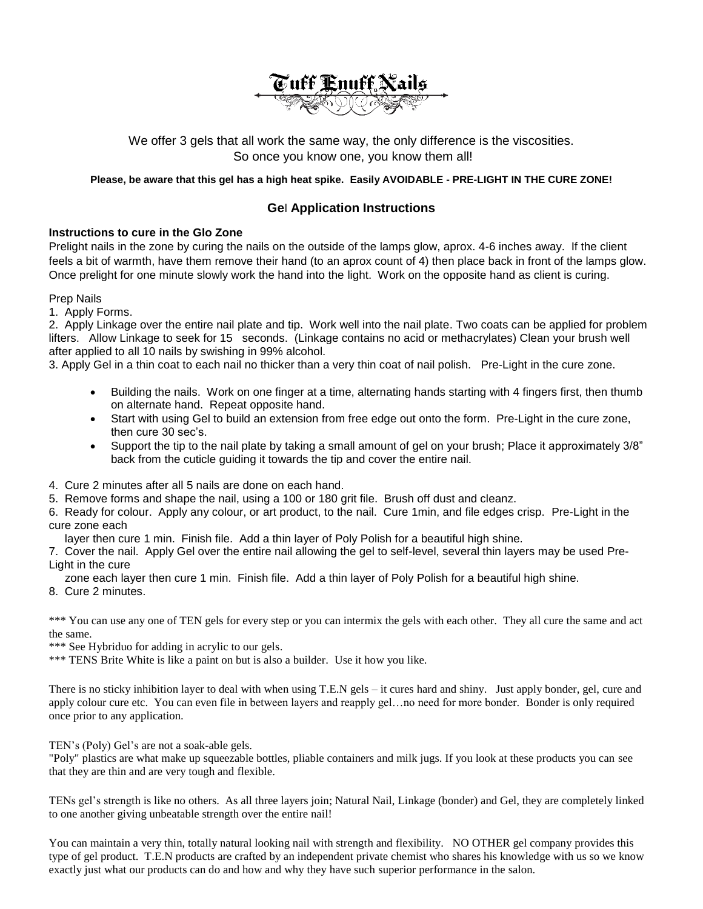

We offer 3 gels that all work the same way, the only difference is the viscosities. So once you know one, you know them all!

## **Please, be aware that this gel has a high heat spike. Easily AVOIDABLE - PRE-LIGHT IN THE CURE ZONE!**

## **Gel Application Instructions**

## **Instructions to cure in the Glo Zone**

Prelight nails in the zone by curing the nails on the outside of the lamps glow, aprox. 4-6 inches away. If the client feels a bit of warmth, have them remove their hand (to an aprox count of 4) then place back in front of the lamps glow. Once prelight for one minute slowly work the hand into the light. Work on the opposite hand as client is curing.

Prep Nails

1. Apply Forms.

2. Apply Linkage over the entire nail plate and tip. Work well into the nail plate. Two coats can be applied for problem lifters. Allow Linkage to seek for 15 seconds. (Linkage contains no acid or methacrylates) Clean your brush well after applied to all 10 nails by swishing in 99% alcohol.

3. Apply Gel in a thin coat to each nail no thicker than a very thin coat of nail polish. Pre-Light in the cure zone.

- Building the nails. Work on one finger at a time, alternating hands starting with 4 fingers first, then thumb on alternate hand. Repeat opposite hand.
- Start with using Gel to build an extension from free edge out onto the form. Pre-Light in the cure zone, then cure 30 sec's.
- Support the tip to the nail plate by taking a small amount of gel on your brush; Place it approximately 3/8" back from the cuticle guiding it towards the tip and cover the entire nail.

4. Cure 2 minutes after all 5 nails are done on each hand.

5. Remove forms and shape the nail, using a 100 or 180 grit file. Brush off dust and cleanz.

6. Ready for colour. Apply any colour, or art product, to the nail. Cure 1min, and file edges crisp. Pre-Light in the cure zone each

layer then cure 1 min. Finish file. Add a thin layer of Poly Polish for a beautiful high shine.

7. Cover the nail. Apply Gel over the entire nail allowing the gel to self-level, several thin layers may be used Pre-Light in the cure

zone each layer then cure 1 min. Finish file. Add a thin layer of Poly Polish for a beautiful high shine.

8. Cure 2 minutes.

\*\*\* You can use any one of TEN gels for every step or you can intermix the gels with each other. They all cure the same and act the same.

\*\*\* See Hybriduo for adding in acrylic to our gels.

\*\*\* TENS Brite White is like a paint on but is also a builder. Use it how you like.

There is no sticky inhibition layer to deal with when using T.E.N gels – it cures hard and shiny. Just apply bonder, gel, cure and apply colour cure etc. You can even file in between layers and reapply gel…no need for more bonder. Bonder is only required once prior to any application.

TEN's (Poly) Gel's are not a soak-able gels.

"Poly" plastics are what make up squeezable bottles, pliable containers and milk jugs. If you look at these products you can see that they are thin and are very tough and flexible.

TENs gel's strength is like no others. As all three layers join; Natural Nail, Linkage (bonder) and Gel, they are completely linked to one another giving unbeatable strength over the entire nail!

You can maintain a very thin, totally natural looking nail with strength and flexibility. NO OTHER gel company provides this type of gel product. T.E.N products are crafted by an independent private chemist who shares his knowledge with us so we know exactly just what our products can do and how and why they have such superior performance in the salon.